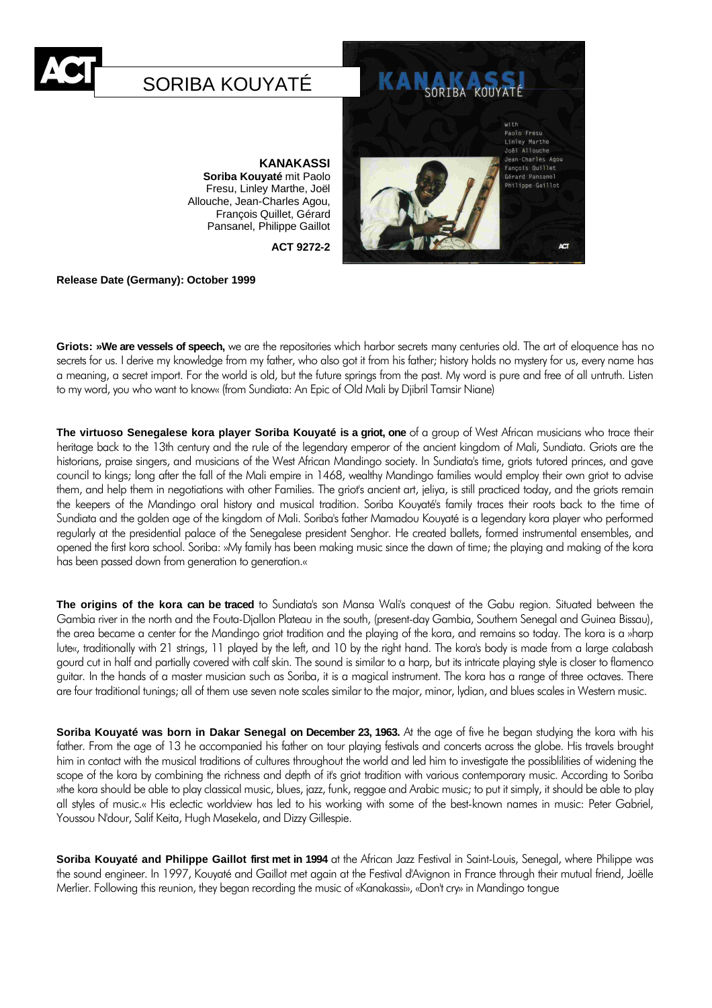

# SORIBA KOUYATÉ

**KANAKASSI Soriba Kouyaté** mit Paolo

Fresu, Linley Marthe, Joël Allouche, Jean-Charles Agou, François Quillet, Gérard Pansanel, Philippe Gaillot

**ACT 9272-2**



**Release Date (Germany): October 1999**

**Griots: »We are vessels of speech,** we are the repositories which harbor secrets many centuries old. The art of eloquence has no secrets for us. I derive my knowledge from my father, who also got it from his father; history holds no mystery for us, every name has a meaning, a secret import. For the world is old, but the future springs from the past. My word is pure and free of all untruth. Listen to my word, you who want to know« (from Sundiata: An Epic of Old Mali by Djibril Tamsir Niane)

**The virtuoso Senegalese kora player Soriba Kouyaté is a griot, one** of a group of West African musicians who trace their heritage back to the 13th century and the rule of the legendary emperor of the ancient kingdom of Mali, Sundiata. Griots are the historians, praise singers, and musicians of the West African Mandingo society. In Sundiata's time, griots tutored princes, and gave council to kings; long after the fall of the Mali empire in 1468, wealthy Mandingo families would employ their own griot to advise them, and help them in negotiations with other Families. The griot's ancient art, jeliya, is still practiced today, and the griots remain the keepers of the Mandingo oral history and musical tradition. Soriba Kouyaté's family traces their roots back to the time of Sundiata and the golden age of the kingdom of Mali. Soriba's father Mamadou Kouyaté is a legendary kora player who performed regularly at the presidential palace of the Senegalese president Senghor. He created ballets, formed instrumental ensembles, and opened the first kora school. Soriba: »My family has been making music since the dawn of time; the playing and making of the kora has been passed down from generation to generation.«

**The origins of the kora can be traced** to Sundiata's son Mansa Wali's conquest of the Gabu region. Situated between the Gambia river in the north and the Fouta-Djallon Plateau in the south, (present-day Gambia, Southern Senegal and Guinea Bissau), the area became a center for the Mandingo griot tradition and the playing of the kora, and remains so today. The kora is a »harp lute«, traditionally with 21 strings, 11 played by the left, and 10 by the right hand. The kora's body is made from a large calabash gourd cut in half and partially covered with calf skin. The sound is similar to a harp, but its intricate playing style is closer to flamenco guitar. In the hands of a master musician such as Soriba, it is a magical instrument. The kora has a range of three octaves. There are four traditional tunings; all of them use seven note scales similar to the major, minor, lydian, and blues scales in Western music.

**Soriba Kouyaté was born in Dakar Senegal on December 23, 1963.** At the age of five he began studying the kora with his father. From the age of 13 he accompanied his father on tour playing festivals and concerts across the globe. His travels brought him in contact with the musical traditions of cultures throughout the world and led him to investigate the possiblilities of widening the scope of the kora by combining the richness and depth of it's griot tradition with various contemporary music. According to Soriba »the kora should be able to play classical music, blues, jazz, funk, reggae and Arabic music; to put it simply, it should be able to play all styles of music.« His eclectic worldview has led to his working with some of the best-known names in music: Peter Gabriel, Youssou N'dour, Salif Keita, Hugh Masekela, and Dizzy Gillespie.

**Soriba Kouyaté and Philippe Gaillot first met in 1994** at the African Jazz Festival in Saint-Louis, Senegal, where Philippe was the sound engineer. In 1997, Kouyaté and Gaillot met again at the Festival d'Avignon in France through their mutual friend, Joëlle Merlier. Following this reunion, they began recording the music of «Kanakassi», «Don't cry» in Mandingo tongue